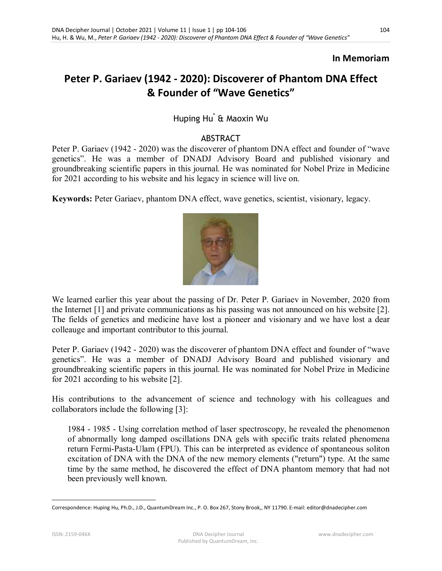#### **In Memoriam**

# **Peter P. Gariaev (1942 - 2020): Discoverer of Phantom DNA Effect & Founder of "Wave Genetics"**

## Huping Hu\* & Maoxin Wu

#### ABSTRACT

Peter P. Gariaev (1942 - 2020) was the discoverer of phantom DNA effect and founder of "wave genetics". He was a member of DNADJ Advisory Board and published visionary and groundbreaking scientific papers in this journal. He was nominated for Nobel Prize in Medicine for 2021 according to his website and his legacy in science will live on.

**Keywords:** Peter Gariaev, phantom DNA effect, wave genetics, scientist, visionary, legacy.



We learned earlier this year about the passing of Dr. Peter P. Gariaev in November, 2020 from the Internet [1] and private communications as his passing was not announced on his website [2]. The fields of genetics and medicine have lost a pioneer and visionary and we have lost a dear colleauge and important contributor to this journal.

Peter P. Gariaev (1942 - 2020) was the discoverer of phantom DNA effect and founder of "wave genetics". He was a member of DNADJ Advisory Board and published visionary and groundbreaking scientific papers in this journal. He was nominated for Nobel Prize in Medicine for 2021 according to his website [2].

His contributions to the advancement of science and technology with his colleagues and collaborators include the following [3]:

1984 - 1985 - Using correlation method of laser spectroscopy, he revealed the phenomenon of abnormally long damped oscillations DNA gels with specific traits related phenomena return Fermi-Pasta-Ulam (FPU). This can be interpreted as evidence of spontaneous soliton excitation of DNA with the DNA of the new memory elements ("return") type. At the same time by the same method, he discovered the effect of DNA phantom memory that had not been previously well known.

<sup>-</sup>Correspondence: Huping Hu, Ph.D., J.D., QuantumDream Inc., P. O. Box 267, Stony Brook,, NY 11790. E-mail: editor@dnadecipher.com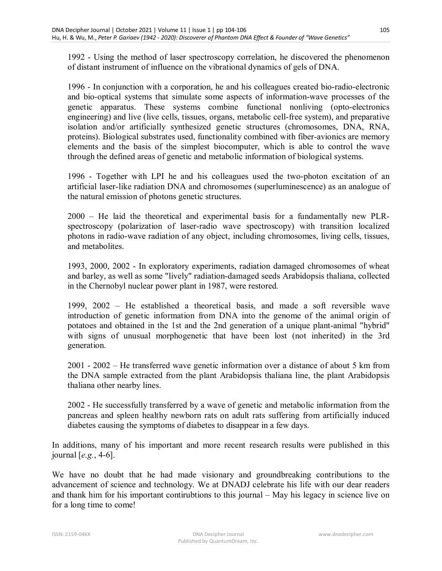1992 - Using the method of laser spectroscopy correlation, he discovered the phenomenon of distant instrument of influence on the vibrational dynamics of gels of DNA.

1996 - In conjunction with a corporation, he and his colleagues created bio-radio-electronic and bio-optical systems that simulate some aspects of information-wave processes of the genetic apparatus. These systems combine functional nonliving (opto-electronics engineering) and live (live cells, tissues, organs, metabolic cell-free system), and preparative isolation and/or artificially synthesized genetic structures (chromosomes, DNA, RNA, proteins). Biological substrates used, functionality combined with fiber-avionics are memory elements and the basis of the simplest biocomputer, which is able to control the wave through the defined areas of genetic and metabolic information of biological systems.

1996 - Together with LPI he and his colleagues used the two-photon excitation of an artificial laser-like radiation DNA and chromosomes (superluminescence) as an analogue of the natural emission of photons genetic structures.

2000 – He laid the theoretical and experimental basis for a fundamentally new PLRspectroscopy (polarization of laser-radio wave spectroscopy) with transition localized photons in radio-wave radiation of any object, including chromosomes, living cells, tissues, and metabolites.

1993, 2000, 2002 - In exploratory experiments, radiation damaged chromosomes of wheat and barley, as well as some "lively" radiation-damaged seeds Arabidopsis thaliana, collected in the Chernobyl nuclear power plant in 1987, were restored.

1999, 2002 – He established a theoretical basis, and made a soft reversible wave introduction of genetic information from DNA into the genome of the animal origin of potatoes and obtained in the 1st and the 2nd generation of a unique plant-animal "hybrid" with signs of unusual morphogenetic that have been lost (not inherited) in the 3rd generation.

2001 - 2002 – He transferred wave genetic information over a distance of about 5 km from the DNA sample extracted from the plant Arabidopsis thaliana line, the plant Arabidopsis thaliana other nearby lines.

2002 - He successfully transferred by a wave of genetic and metabolic information from the pancreas and spleen healthy newborn rats on adult rats suffering from artificially induced diabetes causing the symptoms of diabetes to disappear in a few days.

In additions, many of his important and more recent research results were published in this journal [*e.g.*, 4-6].

We have no doubt that he had made visionary and groundbreaking contributions to the advancement of science and technology. We at DNADJ celebrate his life with our dear readers and thank him for his important contirubtions to this journal – May his legacy in science live on for a long time to come!